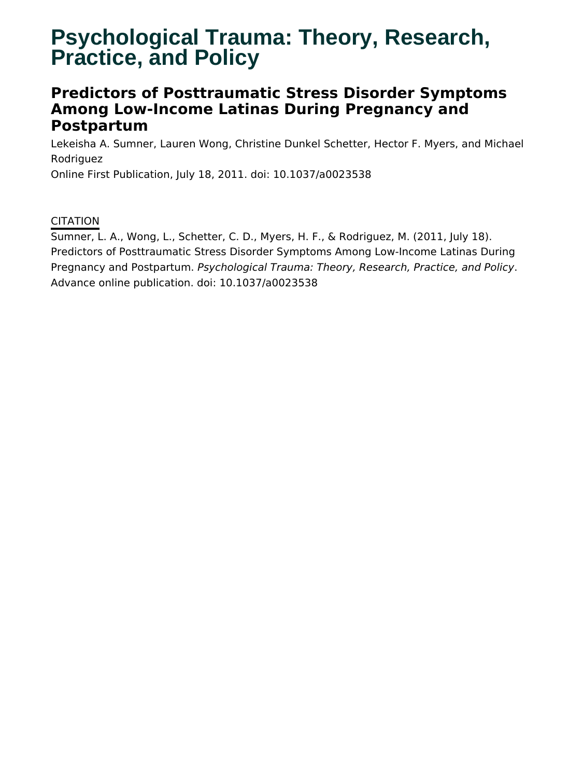# **Psychological Trauma: Theory, Research, Practice, and Policy**

# **Predictors of Posttraumatic Stress Disorder Symptoms Among Low-Income Latinas During Pregnancy and Postpartum**

Lekeisha A. Sumner, Lauren Wong, Christine Dunkel Schetter, Hector F. Myers, and Michael Rodriguez

Online First Publication, July 18, 2011. doi: 10.1037/a0023538

**CITATION** 

Sumner, L. A., Wong, L., Schetter, C. D., Myers, H. F., & Rodriguez, M. (2011, July 18). Predictors of Posttraumatic Stress Disorder Symptoms Among Low-Income Latinas During Pregnancy and Postpartum. Psychological Trauma: Theory, Research, Practice, and Policy. Advance online publication. doi: 10.1037/a0023538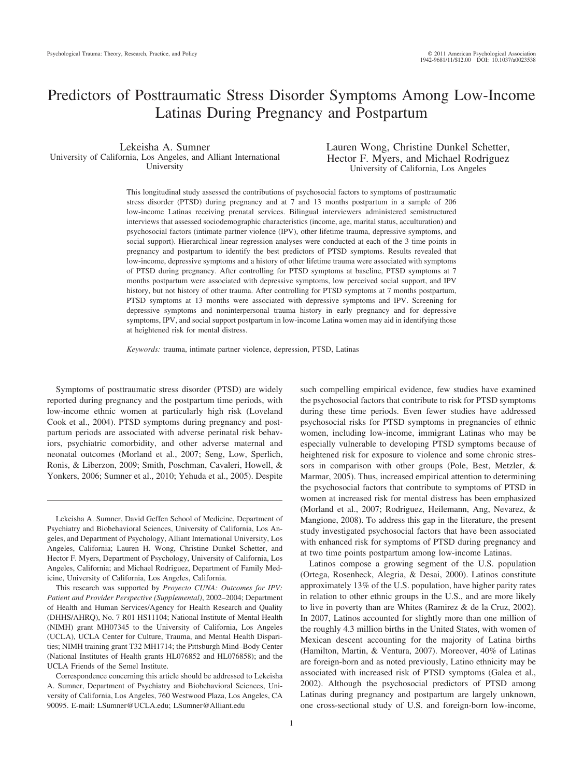# Predictors of Posttraumatic Stress Disorder Symptoms Among Low-Income Latinas During Pregnancy and Postpartum

Lekeisha A. Sumner University of California, Los Angeles, and Alliant International University

Lauren Wong, Christine Dunkel Schetter, Hector F. Myers, and Michael Rodriguez University of California, Los Angeles

This longitudinal study assessed the contributions of psychosocial factors to symptoms of posttraumatic stress disorder (PTSD) during pregnancy and at 7 and 13 months postpartum in a sample of 206 low-income Latinas receiving prenatal services. Bilingual interviewers administered semistructured interviews that assessed sociodemographic characteristics (income, age, marital status, acculturation) and psychosocial factors (intimate partner violence (IPV), other lifetime trauma, depressive symptoms, and social support). Hierarchical linear regression analyses were conducted at each of the 3 time points in pregnancy and postpartum to identify the best predictors of PTSD symptoms. Results revealed that low-income, depressive symptoms and a history of other lifetime trauma were associated with symptoms of PTSD during pregnancy. After controlling for PTSD symptoms at baseline, PTSD symptoms at 7 months postpartum were associated with depressive symptoms, low perceived social support, and IPV history, but not history of other trauma. After controlling for PTSD symptoms at 7 months postpartum, PTSD symptoms at 13 months were associated with depressive symptoms and IPV. Screening for depressive symptoms and noninterpersonal trauma history in early pregnancy and for depressive symptoms, IPV, and social support postpartum in low-income Latina women may aid in identifying those at heightened risk for mental distress.

*Keywords:* trauma, intimate partner violence, depression, PTSD, Latinas

Symptoms of posttraumatic stress disorder (PTSD) are widely reported during pregnancy and the postpartum time periods, with low-income ethnic women at particularly high risk (Loveland Cook et al., 2004). PTSD symptoms during pregnancy and postpartum periods are associated with adverse perinatal risk behaviors, psychiatric comorbidity, and other adverse maternal and neonatal outcomes (Morland et al., 2007; Seng, Low, Sperlich, Ronis, & Liberzon, 2009; Smith, Poschman, Cavaleri, Howell, & Yonkers, 2006; Sumner et al., 2010; Yehuda et al., 2005). Despite

This research was supported by *Proyecto CUNA: Outcomes for IPV: Patient and Provider Perspective (Supplemental)*, 2002–2004; Department of Health and Human Services/Agency for Health Research and Quality (DHHS/AHRQ), No. 7 R01 HS11104; National Institute of Mental Health (NIMH) grant MH07345 to the University of California, Los Angeles (UCLA), UCLA Center for Culture, Trauma, and Mental Health Disparities; NIMH training grant T32 MH1714; the Pittsburgh Mind–Body Center (National Institutes of Health grants HL076852 and HL076858); and the UCLA Friends of the Semel Institute.

Correspondence concerning this article should be addressed to Lekeisha A. Sumner, Department of Psychiatry and Biobehavioral Sciences, University of California, Los Angeles, 760 Westwood Plaza, Los Angeles, CA 90095. E-mail: LSumner@UCLA.edu; LSumner@Alliant.edu

such compelling empirical evidence, few studies have examined the psychosocial factors that contribute to risk for PTSD symptoms during these time periods. Even fewer studies have addressed psychosocial risks for PTSD symptoms in pregnancies of ethnic women, including low-income, immigrant Latinas who may be especially vulnerable to developing PTSD symptoms because of heightened risk for exposure to violence and some chronic stressors in comparison with other groups (Pole, Best, Metzler, & Marmar, 2005). Thus, increased empirical attention to determining the psychosocial factors that contribute to symptoms of PTSD in women at increased risk for mental distress has been emphasized (Morland et al., 2007; Rodriguez, Heilemann, Ang, Nevarez, & Mangione, 2008). To address this gap in the literature, the present study investigated psychosocial factors that have been associated with enhanced risk for symptoms of PTSD during pregnancy and at two time points postpartum among low-income Latinas.

Latinos compose a growing segment of the U.S. population (Ortega, Rosenheck, Alegria, & Desai, 2000). Latinos constitute approximately 13% of the U.S. population, have higher parity rates in relation to other ethnic groups in the U.S., and are more likely to live in poverty than are Whites (Ramirez & de la Cruz, 2002). In 2007, Latinos accounted for slightly more than one million of the roughly 4.3 million births in the United States, with women of Mexican descent accounting for the majority of Latina births (Hamilton, Martin, & Ventura, 2007). Moreover, 40% of Latinas are foreign-born and as noted previously, Latino ethnicity may be associated with increased risk of PTSD symptoms (Galea et al., 2002). Although the psychosocial predictors of PTSD among Latinas during pregnancy and postpartum are largely unknown, one cross-sectional study of U.S. and foreign-born low-income,

Lekeisha A. Sumner, David Geffen School of Medicine, Department of Psychiatry and Biobehavioral Sciences, University of California, Los Angeles, and Department of Psychology, Alliant International University, Los Angeles, California; Lauren H. Wong, Christine Dunkel Schetter, and Hector F. Myers, Department of Psychology, University of California, Los Angeles, California; and Michael Rodriguez, Department of Family Medicine, University of California, Los Angeles, California.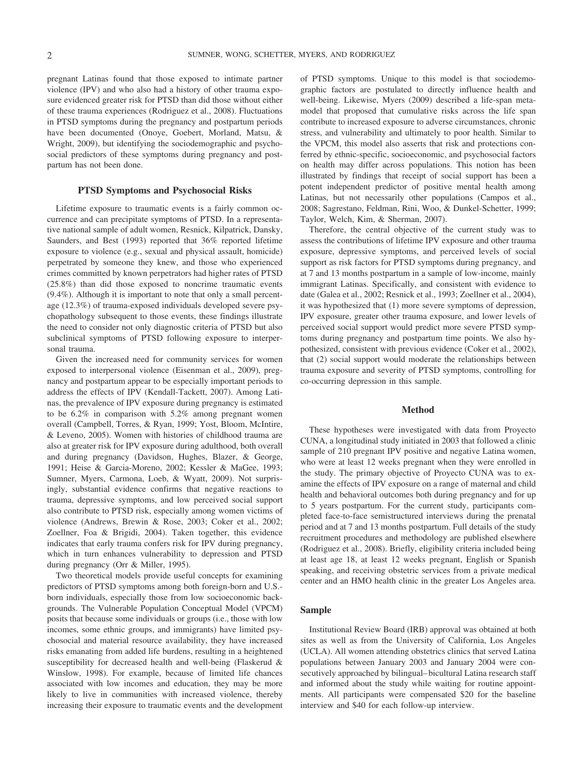pregnant Latinas found that those exposed to intimate partner violence (IPV) and who also had a history of other trauma exposure evidenced greater risk for PTSD than did those without either of these trauma experiences (Rodriguez et al., 2008). Fluctuations in PTSD symptoms during the pregnancy and postpartum periods have been documented (Onoye, Goebert, Morland, Matsu, & Wright, 2009), but identifying the sociodemographic and psychosocial predictors of these symptoms during pregnancy and postpartum has not been done.

#### **PTSD Symptoms and Psychosocial Risks**

Lifetime exposure to traumatic events is a fairly common occurrence and can precipitate symptoms of PTSD. In a representative national sample of adult women, Resnick, Kilpatrick, Dansky, Saunders, and Best (1993) reported that 36% reported lifetime exposure to violence (e.g., sexual and physical assault, homicide) perpetrated by someone they knew, and those who experienced crimes committed by known perpetrators had higher rates of PTSD (25.8%) than did those exposed to noncrime traumatic events (9.4%). Although it is important to note that only a small percentage (12.3%) of trauma-exposed individuals developed severe psychopathology subsequent to those events, these findings illustrate the need to consider not only diagnostic criteria of PTSD but also subclinical symptoms of PTSD following exposure to interpersonal trauma.

Given the increased need for community services for women exposed to interpersonal violence (Eisenman et al., 2009), pregnancy and postpartum appear to be especially important periods to address the effects of IPV (Kendall-Tackett, 2007). Among Latinas, the prevalence of IPV exposure during pregnancy is estimated to be 6.2% in comparison with 5.2% among pregnant women overall (Campbell, Torres, & Ryan, 1999; Yost, Bloom, McIntire, & Leveno, 2005). Women with histories of childhood trauma are also at greater risk for IPV exposure during adulthood, both overall and during pregnancy (Davidson, Hughes, Blazer, & George, 1991; Heise & Garcia-Moreno, 2002; Kessler & MaGee, 1993; Sumner, Myers, Carmona, Loeb, & Wyatt, 2009). Not surprisingly, substantial evidence confirms that negative reactions to trauma, depressive symptoms, and low perceived social support also contribute to PTSD risk, especially among women victims of violence (Andrews, Brewin & Rose, 2003; Coker et al., 2002; Zoellner, Foa & Brigidi, 2004). Taken together, this evidence indicates that early trauma confers risk for IPV during pregnancy, which in turn enhances vulnerability to depression and PTSD during pregnancy (Orr & Miller, 1995).

Two theoretical models provide useful concepts for examining predictors of PTSD symptoms among both foreign-born and U.S. born individuals, especially those from low socioeconomic backgrounds. The Vulnerable Population Conceptual Model (VPCM) posits that because some individuals or groups (i.e., those with low incomes, some ethnic groups, and immigrants) have limited psychosocial and material resource availability, they have increased risks emanating from added life burdens, resulting in a heightened susceptibility for decreased health and well-being (Flaskerud & Winslow, 1998). For example, because of limited life chances associated with low incomes and education, they may be more likely to live in communities with increased violence, thereby increasing their exposure to traumatic events and the development of PTSD symptoms. Unique to this model is that sociodemographic factors are postulated to directly influence health and well-being. Likewise, Myers (2009) described a life-span metamodel that proposed that cumulative risks across the life span contribute to increased exposure to adverse circumstances, chronic stress, and vulnerability and ultimately to poor health. Similar to the VPCM, this model also asserts that risk and protections conferred by ethnic-specific, socioeconomic, and psychosocial factors on health may differ across populations. This notion has been illustrated by findings that receipt of social support has been a potent independent predictor of positive mental health among Latinas, but not necessarily other populations (Campos et al., 2008; Sagrestano, Feldman, Rini, Woo, & Dunkel-Schetter, 1999; Taylor, Welch, Kim, & Sherman, 2007).

Therefore, the central objective of the current study was to assess the contributions of lifetime IPV exposure and other trauma exposure, depressive symptoms, and perceived levels of social support as risk factors for PTSD symptoms during pregnancy, and at 7 and 13 months postpartum in a sample of low-income, mainly immigrant Latinas. Specifically, and consistent with evidence to date (Galea et al., 2002; Resnick et al., 1993; Zoellner et al., 2004), it was hypothesized that (1) more severe symptoms of depression, IPV exposure, greater other trauma exposure, and lower levels of perceived social support would predict more severe PTSD symptoms during pregnancy and postpartum time points. We also hypothesized, consistent with previous evidence (Coker et al., 2002), that (2) social support would moderate the relationships between trauma exposure and severity of PTSD symptoms, controlling for co-occurring depression in this sample.

#### **Method**

These hypotheses were investigated with data from Proyecto CUNA, a longitudinal study initiated in 2003 that followed a clinic sample of 210 pregnant IPV positive and negative Latina women, who were at least 12 weeks pregnant when they were enrolled in the study. The primary objective of Proyecto CUNA was to examine the effects of IPV exposure on a range of maternal and child health and behavioral outcomes both during pregnancy and for up to 5 years postpartum. For the current study, participants completed face-to-face semistructured interviews during the prenatal period and at 7 and 13 months postpartum. Full details of the study recruitment procedures and methodology are published elsewhere (Rodriguez et al., 2008). Briefly, eligibility criteria included being at least age 18, at least 12 weeks pregnant, English or Spanish speaking, and receiving obstetric services from a private medical center and an HMO health clinic in the greater Los Angeles area.

### **Sample**

Institutional Review Board (IRB) approval was obtained at both sites as well as from the University of California, Los Angeles (UCLA). All women attending obstetrics clinics that served Latina populations between January 2003 and January 2004 were consecutively approached by bilingual–bicultural Latina research staff and informed about the study while waiting for routine appointments. All participants were compensated \$20 for the baseline interview and \$40 for each follow-up interview.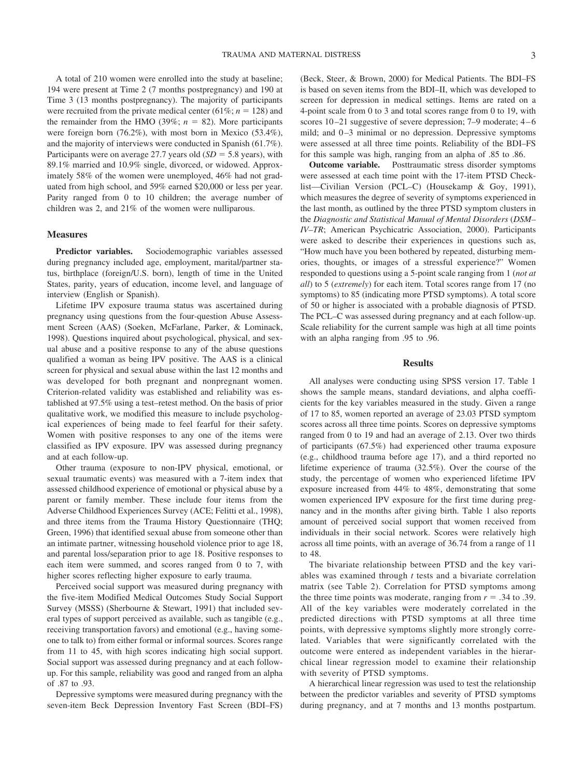A total of 210 women were enrolled into the study at baseline; 194 were present at Time 2 (7 months postpregnancy) and 190 at Time 3 (13 months postpregnancy). The majority of participants were recruited from the private medical center  $(61\%; n = 128)$  and the remainder from the HMO (39%;  $n = 82$ ). More participants were foreign born (76.2%), with most born in Mexico (53.4%), and the majority of interviews were conducted in Spanish (61.7%). Participants were on average 27.7 years old  $(SD = 5.8 \text{ years})$ , with 89.1% married and 10.9% single, divorced, or widowed. Approximately 58% of the women were unemployed, 46% had not graduated from high school, and 59% earned \$20,000 or less per year. Parity ranged from 0 to 10 children; the average number of children was 2, and 21% of the women were nulliparous.

### **Measures**

**Predictor variables.** Sociodemographic variables assessed during pregnancy included age, employment, marital/partner status, birthplace (foreign/U.S. born), length of time in the United States, parity, years of education, income level, and language of interview (English or Spanish).

Lifetime IPV exposure trauma status was ascertained during pregnancy using questions from the four-question Abuse Assessment Screen (AAS) (Soeken, McFarlane, Parker, & Lominack, 1998). Questions inquired about psychological, physical, and sexual abuse and a positive response to any of the abuse questions qualified a woman as being IPV positive. The AAS is a clinical screen for physical and sexual abuse within the last 12 months and was developed for both pregnant and nonpregnant women. Criterion-related validity was established and reliability was established at 97.5% using a test–retest method. On the basis of prior qualitative work, we modified this measure to include psychological experiences of being made to feel fearful for their safety. Women with positive responses to any one of the items were classified as IPV exposure. IPV was assessed during pregnancy and at each follow-up.

Other trauma (exposure to non-IPV physical, emotional, or sexual traumatic events) was measured with a 7-item index that assessed childhood experience of emotional or physical abuse by a parent or family member. These include four items from the Adverse Childhood Experiences Survey (ACE; Felitti et al., 1998), and three items from the Trauma History Questionnaire (THQ; Green, 1996) that identified sexual abuse from someone other than an intimate partner, witnessing household violence prior to age 18, and parental loss/separation prior to age 18. Positive responses to each item were summed, and scores ranged from 0 to 7, with higher scores reflecting higher exposure to early trauma.

Perceived social support was measured during pregnancy with the five-item Modified Medical Outcomes Study Social Support Survey (MSSS) (Sherbourne & Stewart, 1991) that included several types of support perceived as available, such as tangible (e.g., receiving transportation favors) and emotional (e.g., having someone to talk to) from either formal or informal sources. Scores range from 11 to 45, with high scores indicating high social support. Social support was assessed during pregnancy and at each followup. For this sample, reliability was good and ranged from an alpha of .87 to .93.

Depressive symptoms were measured during pregnancy with the seven-item Beck Depression Inventory Fast Screen (BDI–FS)

(Beck, Steer, & Brown, 2000) for Medical Patients. The BDI–FS is based on seven items from the BDI–II, which was developed to screen for depression in medical settings. Items are rated on a 4-point scale from 0 to 3 and total scores range from 0 to 19, with scores 10–21 suggestive of severe depression; 7–9 moderate; 4–6 mild; and 0–3 minimal or no depression. Depressive symptoms were assessed at all three time points. Reliability of the BDI–FS for this sample was high, ranging from an alpha of .85 to .86.

**Outcome variable.** Posttraumatic stress disorder symptoms were assessed at each time point with the 17-item PTSD Checklist—Civilian Version (PCL–C) (Housekamp & Goy, 1991), which measures the degree of severity of symptoms experienced in the last month, as outlined by the three PTSD symptom clusters in the *Diagnostic and Statistical Manual of Mental Disorders* (*DSM– IV–TR*; American Psychicatric Association, 2000). Participants were asked to describe their experiences in questions such as, "How much have you been bothered by repeated, disturbing memories, thoughts, or images of a stressful experience?" Women responded to questions using a 5-point scale ranging from 1 (*not at all*) to 5 (*extremely*) for each item. Total scores range from 17 (no symptoms) to 85 (indicating more PTSD symptoms). A total score of 50 or higher is associated with a probable diagnosis of PTSD. The PCL–C was assessed during pregnancy and at each follow-up. Scale reliability for the current sample was high at all time points with an alpha ranging from .95 to .96.

#### **Results**

All analyses were conducting using SPSS version 17. Table 1 shows the sample means, standard deviations, and alpha coefficients for the key variables measured in the study. Given a range of 17 to 85, women reported an average of 23.03 PTSD symptom scores across all three time points. Scores on depressive symptoms ranged from 0 to 19 and had an average of 2.13. Over two thirds of participants (67.5%) had experienced other trauma exposure (e.g., childhood trauma before age 17), and a third reported no lifetime experience of trauma (32.5%). Over the course of the study, the percentage of women who experienced lifetime IPV exposure increased from 44% to 48%, demonstrating that some women experienced IPV exposure for the first time during pregnancy and in the months after giving birth. Table 1 also reports amount of perceived social support that women received from individuals in their social network. Scores were relatively high across all time points, with an average of 36.74 from a range of 11 to 48.

The bivariate relationship between PTSD and the key variables was examined through *t* tests and a bivariate correlation matrix (see Table 2). Correlation for PTSD symptoms among the three time points was moderate, ranging from  $r = .34$  to .39. All of the key variables were moderately correlated in the predicted directions with PTSD symptoms at all three time points, with depressive symptoms slightly more strongly correlated. Variables that were significantly correlated with the outcome were entered as independent variables in the hierarchical linear regression model to examine their relationship with severity of PTSD symptoms.

A hierarchical linear regression was used to test the relationship between the predictor variables and severity of PTSD symptoms during pregnancy, and at 7 months and 13 months postpartum.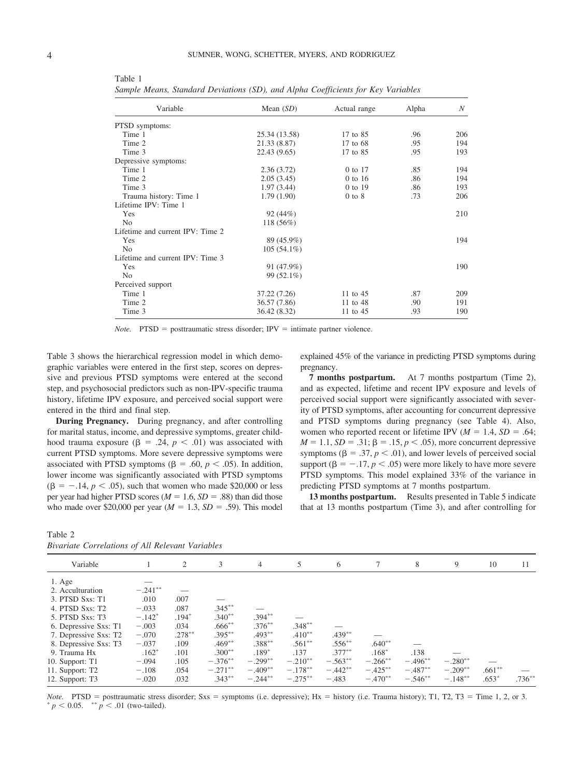| Variable                         | Mean $(SD)$   | Actual range | Alpha | N   |
|----------------------------------|---------------|--------------|-------|-----|
| PTSD symptoms:                   |               |              |       |     |
| Time 1                           | 25.34 (13.58) | 17 to 85     | .96   | 206 |
| Time 2                           | 21.33 (8.87)  | 17 to 68     | .95   | 194 |
| Time 3                           | 22.43 (9.65)  | 17 to 85     | .95   | 193 |
| Depressive symptoms:             |               |              |       |     |
| Time 1                           | 2.36(3.72)    | 0 to 17      | .85   | 194 |
| Time 2                           | 2.05(3.45)    | $0$ to 16    | .86   | 194 |
| Time 3                           | 1.97(3.44)    | 0 to 19      | .86   | 193 |
| Trauma history: Time 1           | 1.79(1.90)    | $0$ to $8$   | .73   | 206 |
| Lifetime IPV: Time 1             |               |              |       |     |
| Yes                              | 92(44%)       |              |       | 210 |
| N <sub>0</sub>                   | $118(56\%)$   |              |       |     |
| Lifetime and current IPV: Time 2 |               |              |       |     |
| Yes                              | 89 (45.9%)    |              |       | 194 |
| N <sub>0</sub>                   | $105(54.1\%)$ |              |       |     |
| Lifetime and current IPV: Time 3 |               |              |       |     |
| Yes                              | 91 (47.9%)    |              |       | 190 |
| N <sub>0</sub>                   | 99 (52.1%)    |              |       |     |
| Perceived support                |               |              |       |     |
| Time 1                           | 37.22 (7.26)  | 11 to 45     | .87   | 209 |
| Time 2                           | 36.57 (7.86)  | 11 to 48     | .90   | 191 |
| Time 3                           | 36.42 (8.32)  | 11 to 45     | .93   | 190 |

Table 1 *Sample Means, Standard Deviations (SD), and Alpha Coefficients for Key Variables*

*Note.* PTSD = posttraumatic stress disorder; IPV = intimate partner violence.

Table 3 shows the hierarchical regression model in which demographic variables were entered in the first step, scores on depressive and previous PTSD symptoms were entered at the second step, and psychosocial predictors such as non-IPV-specific trauma history, lifetime IPV exposure, and perceived social support were entered in the third and final step.

**During Pregnancy.** During pregnancy, and after controlling for marital status, income, and depressive symptoms, greater childhood trauma exposure ( $\beta = .24$ ,  $p < .01$ ) was associated with current PTSD symptoms. More severe depressive symptoms were associated with PTSD symptoms ( $\beta = .60, p < .05$ ). In addition, lower income was significantly associated with PTSD symptoms  $(\beta = -.14, p < .05)$ , such that women who made \$20,000 or less per year had higher PTSD scores ( $M = 1.6$ ,  $SD = .88$ ) than did those who made over \$20,000 per year  $(M = 1.3, SD = .59)$ . This model

explained 45% of the variance in predicting PTSD symptoms during pregnancy.

**7 months postpartum.** At 7 months postpartum (Time 2), and as expected, lifetime and recent IPV exposure and levels of perceived social support were significantly associated with severity of PTSD symptoms, after accounting for concurrent depressive and PTSD symptoms during pregnancy (see Table 4). Also, women who reported recent or lifetime IPV  $(M = 1.4, SD = .64;$  $M = 1.1, SD = .31; \beta = .15, p < .05$ , more concurrent depressive symptoms ( $\beta = .37, p < .01$ ), and lower levels of perceived social support ( $\beta = -.17, p < .05$ ) were more likely to have more severe PTSD symptoms. This model explained 33% of the variance in predicting PTSD symptoms at 7 months postpartum.

**13 months postpartum.** Results presented in Table 5 indicate that at 13 months postpartum (Time 3), and after controlling for

Table 2

|  | Bivariate Correlations of All Relevant Variables |  |  |  |
|--|--------------------------------------------------|--|--|--|
|--|--------------------------------------------------|--|--|--|

| <i>Bivariate Correlations of All Relevant Variables</i>                                                                                                                                                    |                                                                                                  |                                                                      |                                                                                         |                                                                          |                                                         |                                                  |                                              |                         |                         |                      |           |
|------------------------------------------------------------------------------------------------------------------------------------------------------------------------------------------------------------|--------------------------------------------------------------------------------------------------|----------------------------------------------------------------------|-----------------------------------------------------------------------------------------|--------------------------------------------------------------------------|---------------------------------------------------------|--------------------------------------------------|----------------------------------------------|-------------------------|-------------------------|----------------------|-----------|
| Variable                                                                                                                                                                                                   |                                                                                                  | 2                                                                    | 3                                                                                       | 4                                                                        | 5                                                       | 6                                                | 7                                            | 8                       | 9                       | 10                   | 11        |
| $1. \text{Age}$<br>2. Acculturation<br>3. PTSD Sxs: T1<br>4. PTSD Sxs: T2<br>5. PTSD Sxs: T3<br>6. Depressive Sxs: T1<br>7. Depressive Sxs: T2<br>8. Depressive Sxs: T3<br>9. Trauma Hx<br>10. Support: T1 | $-.241***$<br>.010<br>$-.033$<br>$-.142*$<br>$-.003$<br>$-.070$<br>$-.037$<br>$.162*$<br>$-.094$ | .007<br>.087<br>$.194*$<br>.034<br>$.278***$<br>.109<br>.101<br>.105 | $.345***$<br>$.340**$<br>$.666^{**}$<br>$.395***$<br>$.469**$<br>$.300**$<br>$-.376***$ | $.394***$<br>$.376***$<br>$.493***$<br>$.388***$<br>$.189*$<br>$-.299**$ | $.348***$<br>$.410**$<br>$.561***$<br>.137<br>$-.210**$ | $.439***$<br>$.556***$<br>$.377***$<br>$-.563**$ | $.640**$<br>$.168*$<br>$-.266$ <sup>**</sup> | .138<br>$-.496***$      | $-.280**$               |                      |           |
| 11. Support: T2<br>12. Support: T3                                                                                                                                                                         | $-.108$<br>$-.020$                                                                               | .054<br>.032                                                         | $-.271$ **<br>$.343***$                                                                 | $-.409**$<br>$-.244***$                                                  | $-.178***$<br>$-.275***$                                | $-.442**$<br>$-.483$                             | $-.425***$<br>$-.470**$                      | $-.487**$<br>$-.546***$ | $-.209**$<br>$-.148***$ | $.661***$<br>$.653*$ | $.736***$ |

*Note.* PTSD = posttraumatic stress disorder; Sxs = symptoms (i.e. depressive); Hx = history (i.e. Trauma history); T1, T2, T3 = Time 1, 2, or 3.  ${}^*p$  < 0.05.  ${}^{**}p$  < 0.1 (two-tailed).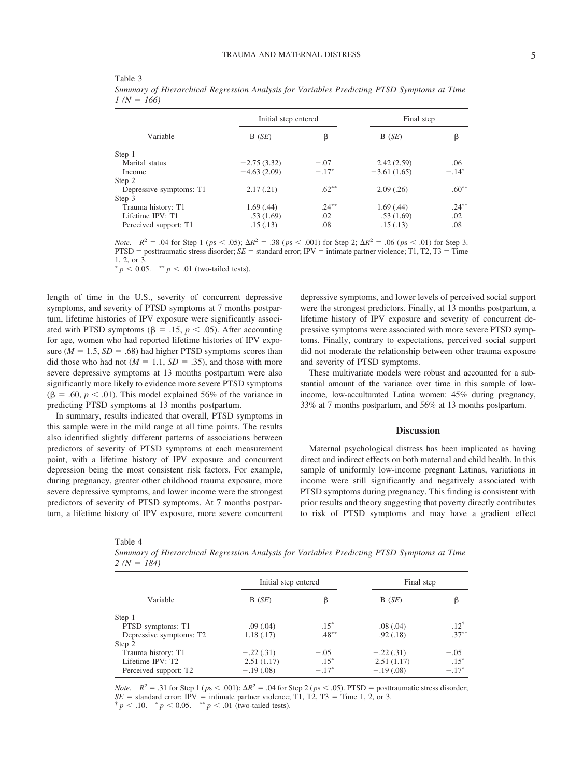|                         | Initial step entered |          |               | Final step |  |
|-------------------------|----------------------|----------|---------------|------------|--|
| Variable                | B(SE)                | β        | B(SE)         | β          |  |
| Step 1                  |                      |          |               |            |  |
| Marital status          | $-2.75(3.32)$        | $-.07$   | 2.42(2.59)    | .06        |  |
| Income                  | $-4.63(2.09)$        | $-.17*$  | $-3.61(1.65)$ | $-.14*$    |  |
| Step 2                  |                      |          |               |            |  |
| Depressive symptoms: T1 | 2.17(.21)            | $.62**$  | 2.09(.26)     | $.60***$   |  |
| Step 3                  |                      |          |               |            |  |
| Trauma history: T1      | 1.69(0.44)           | $.24***$ | 1.69(0.44)    | $.24***$   |  |
| Lifetime IPV: T1        | .53(1.69)            | .02      | .53(1.69)     | .02        |  |
| Perceived support: T1   | .15(.13)             | .08      | .15(.13)      | .08        |  |

Table 3 *Summary of Hierarchical Regression Analysis for Variables Predicting PTSD Symptoms at Time*  $1 (N = 166)$ 

*Note.*  $R^2 = .04$  for Step 1 ( $ps < .05$ );  $\Delta R^2 = .38$  ( $ps < .001$ ) for Step 2;  $\Delta R^2 = .06$  ( $ps < .01$ ) for Step 3.  $PTSD = posttraumatic stress disorder; SE = standard error; IPv = intimate partner violence; T1, T2, T3 = Time$ 1, 2, or 3.

 $p < 0.05$ . \*\*  $p < .01$  (two-tailed tests).

length of time in the U.S., severity of concurrent depressive symptoms, and severity of PTSD symptoms at 7 months postpartum, lifetime histories of IPV exposure were significantly associated with PTSD symptoms ( $\beta = .15$ ,  $p < .05$ ). After accounting for age, women who had reported lifetime histories of IPV exposure  $(M = 1.5, SD = .68)$  had higher PTSD symptoms scores than did those who had not  $(M = 1.1, SD = .35)$ , and those with more severe depressive symptoms at 13 months postpartum were also significantly more likely to evidence more severe PTSD symptoms  $(\beta = .60, p < .01)$ . This model explained 56% of the variance in predicting PTSD symptoms at 13 months postpartum.

In summary, results indicated that overall, PTSD symptoms in this sample were in the mild range at all time points. The results also identified slightly different patterns of associations between predictors of severity of PTSD symptoms at each measurement point, with a lifetime history of IPV exposure and concurrent depression being the most consistent risk factors. For example, during pregnancy, greater other childhood trauma exposure, more severe depressive symptoms, and lower income were the strongest predictors of severity of PTSD symptoms. At 7 months postpartum, a lifetime history of IPV exposure, more severe concurrent depressive symptoms, and lower levels of perceived social support were the strongest predictors. Finally, at 13 months postpartum, a lifetime history of IPV exposure and severity of concurrent depressive symptoms were associated with more severe PTSD symptoms. Finally, contrary to expectations, perceived social support did not moderate the relationship between other trauma exposure and severity of PTSD symptoms.

These multivariate models were robust and accounted for a substantial amount of the variance over time in this sample of lowincome, low-acculturated Latina women: 45% during pregnancy, 33% at 7 months postpartum, and 56% at 13 months postpartum.

#### **Discussion**

Maternal psychological distress has been implicated as having direct and indirect effects on both maternal and child health. In this sample of uniformly low-income pregnant Latinas, variations in income were still significantly and negatively associated with PTSD symptoms during pregnancy. This finding is consistent with prior results and theory suggesting that poverty directly contributes to risk of PTSD symptoms and may have a gradient effect

Table 4

| Variable                | Initial step entered |          | Final step  |           |  |
|-------------------------|----------------------|----------|-------------|-----------|--|
|                         | B(SE)                | β        | B(SE)       | β         |  |
| Step 1                  |                      |          |             |           |  |
| PTSD symptoms: T1       | .09(0.04)            | $.15*$   | .08(.04)    | $.12^{+}$ |  |
| Depressive symptoms: T2 | 1.18(.17)            | $.48***$ | .92(0.18)   | $.37***$  |  |
| Step 2                  |                      |          |             |           |  |
| Trauma history: T1      | $-.22(.31)$          | $-.05$   | $-.22(.31)$ | $-.05$    |  |
| Lifetime IPV: T2        | 2.51(1.17)           | $.15*$   | 2.51(1.17)  | $.15*$    |  |
| Perceived support: T2   | $-.19(.08)$          | $-.17*$  | $-.19(.08)$ | $-.17*$   |  |

*Summary of Hierarchical Regression Analysis for Variables Predicting PTSD Symptoms at Time 2 (N 184)*

*Note.*  $R^2 = .31$  for Step 1 ( $ps < .001$ );  $\Delta R^2 = .04$  for Step 2 ( $ps < .05$ ). PTSD = posttraumatic stress disorder; *SE* = standard error; IPV = intimate partner violence; T1, T2, T3 = Time 1, 2, or 3.  $\frac{p}{p}$  / 0.05.  $\frac{p}{p}$  / 0.01 (two-tailed tests).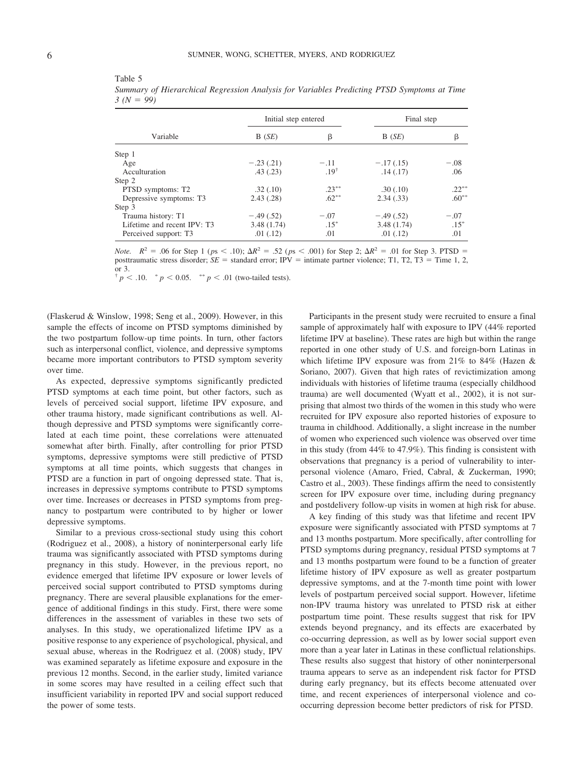Table 5

|                                     | Initial step entered |                  | Final step  |          |
|-------------------------------------|----------------------|------------------|-------------|----------|
| Variable                            | B(SE)                | β                | B(SE)       | β        |
| Step 1                              |                      |                  |             |          |
| Age                                 | $-.23(.21)$          | $-.11$           | $-.17(.15)$ | $-.08$   |
| Acculturation                       | .43(.23)             | .19 <sup>†</sup> | .14(.17)    | .06      |
| Step 2                              |                      |                  |             |          |
| PTSD symptoms: T2                   | .32(.10)             | $.23***$         | .30(.10)    | $.22***$ |
| Depressive symptoms: T <sub>3</sub> | 2.43(.28)            | $.62***$         | 2.34(.33)   | $.60***$ |
| Step 3                              |                      |                  |             |          |
| Trauma history: T1                  | $-.49(.52)$          | $-.07$           | $-.49(.52)$ | $-.07$   |
| Lifetime and recent IPV: T3         | 3.48(1.74)           | $.15*$           | 3.48(1.74)  | $.15*$   |
| Perceived support: T3               | .01(0.12)            | .01              | .01(.12)    | .01      |

*Summary of Hierarchical Regression Analysis for Variables Predicting PTSD Symptoms at Time*  $3 (N = 99)$ 

*Note.*  $R^2 = .06$  for Step 1 ( $ps < .10$ );  $\Delta R^2 = .52$  ( $ps < .001$ ) for Step 2;  $\Delta R^2 = .01$  for Step 3. PTSD = posttraumatic stress disorder;  $SE =$  standard error; IPV = intimate partner violence; T1, T2, T3 = Time 1, 2, or 3.

 $p < 0.10$ .  $p < 0.05$ .  $p < 0.01$  (two-tailed tests).

(Flaskerud & Winslow, 1998; Seng et al., 2009). However, in this sample the effects of income on PTSD symptoms diminished by the two postpartum follow-up time points. In turn, other factors such as interpersonal conflict, violence, and depressive symptoms became more important contributors to PTSD symptom severity over time.

As expected, depressive symptoms significantly predicted PTSD symptoms at each time point, but other factors, such as levels of perceived social support, lifetime IPV exposure, and other trauma history, made significant contributions as well. Although depressive and PTSD symptoms were significantly correlated at each time point, these correlations were attenuated somewhat after birth. Finally, after controlling for prior PTSD symptoms, depressive symptoms were still predictive of PTSD symptoms at all time points, which suggests that changes in PTSD are a function in part of ongoing depressed state. That is, increases in depressive symptoms contribute to PTSD symptoms over time. Increases or decreases in PTSD symptoms from pregnancy to postpartum were contributed to by higher or lower depressive symptoms.

Similar to a previous cross-sectional study using this cohort (Rodriguez et al., 2008), a history of noninterpersonal early life trauma was significantly associated with PTSD symptoms during pregnancy in this study. However, in the previous report, no evidence emerged that lifetime IPV exposure or lower levels of perceived social support contributed to PTSD symptoms during pregnancy. There are several plausible explanations for the emergence of additional findings in this study. First, there were some differences in the assessment of variables in these two sets of analyses. In this study, we operationalized lifetime IPV as a positive response to any experience of psychological, physical, and sexual abuse, whereas in the Rodriguez et al. (2008) study, IPV was examined separately as lifetime exposure and exposure in the previous 12 months. Second, in the earlier study, limited variance in some scores may have resulted in a ceiling effect such that insufficient variability in reported IPV and social support reduced the power of some tests.

Participants in the present study were recruited to ensure a final sample of approximately half with exposure to IPV (44% reported lifetime IPV at baseline). These rates are high but within the range reported in one other study of U.S. and foreign-born Latinas in which lifetime IPV exposure was from 21% to 84% (Hazen & Soriano, 2007). Given that high rates of revictimization among individuals with histories of lifetime trauma (especially childhood trauma) are well documented (Wyatt et al., 2002), it is not surprising that almost two thirds of the women in this study who were recruited for IPV exposure also reported histories of exposure to trauma in childhood. Additionally, a slight increase in the number of women who experienced such violence was observed over time in this study (from 44% to 47.9%). This finding is consistent with observations that pregnancy is a period of vulnerability to interpersonal violence (Amaro, Fried, Cabral, & Zuckerman, 1990; Castro et al., 2003). These findings affirm the need to consistently screen for IPV exposure over time, including during pregnancy and postdelivery follow-up visits in women at high risk for abuse.

A key finding of this study was that lifetime and recent IPV exposure were significantly associated with PTSD symptoms at 7 and 13 months postpartum. More specifically, after controlling for PTSD symptoms during pregnancy, residual PTSD symptoms at 7 and 13 months postpartum were found to be a function of greater lifetime history of IPV exposure as well as greater postpartum depressive symptoms, and at the 7-month time point with lower levels of postpartum perceived social support. However, lifetime non-IPV trauma history was unrelated to PTSD risk at either postpartum time point. These results suggest that risk for IPV extends beyond pregnancy, and its effects are exacerbated by co-occurring depression, as well as by lower social support even more than a year later in Latinas in these conflictual relationships. These results also suggest that history of other noninterpersonal trauma appears to serve as an independent risk factor for PTSD during early pregnancy, but its effects become attenuated over time, and recent experiences of interpersonal violence and cooccurring depression become better predictors of risk for PTSD.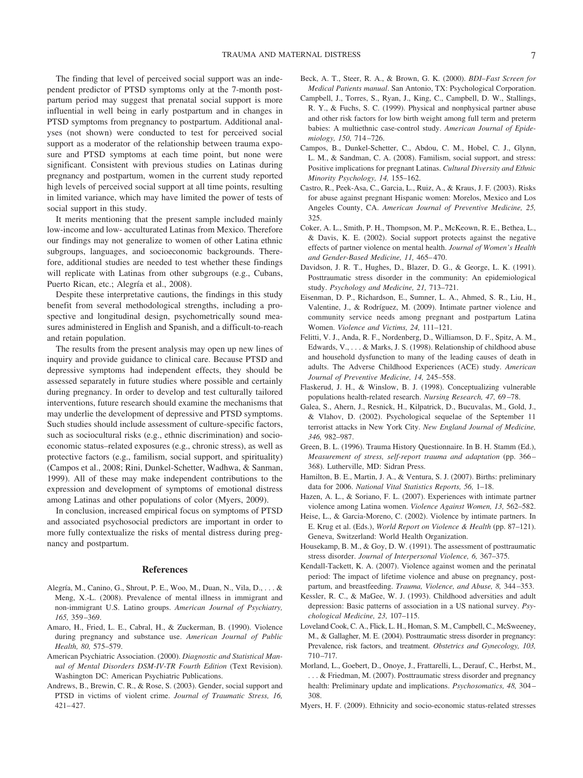The finding that level of perceived social support was an independent predictor of PTSD symptoms only at the 7-month postpartum period may suggest that prenatal social support is more influential in well being in early postpartum and in changes in PTSD symptoms from pregnancy to postpartum. Additional analyses (not shown) were conducted to test for perceived social support as a moderator of the relationship between trauma exposure and PTSD symptoms at each time point, but none were significant. Consistent with previous studies on Latinas during pregnancy and postpartum, women in the current study reported high levels of perceived social support at all time points, resulting in limited variance, which may have limited the power of tests of social support in this study.

It merits mentioning that the present sample included mainly low-income and low- acculturated Latinas from Mexico. Therefore our findings may not generalize to women of other Latina ethnic subgroups, languages, and socioeconomic backgrounds. Therefore, additional studies are needed to test whether these findings will replicate with Latinas from other subgroups (e.g., Cubans, Puerto Rican, etc.; Alegría et al., 2008).

Despite these interpretative cautions, the findings in this study benefit from several methodological strengths, including a prospective and longitudinal design, psychometrically sound measures administered in English and Spanish, and a difficult-to-reach and retain population.

The results from the present analysis may open up new lines of inquiry and provide guidance to clinical care. Because PTSD and depressive symptoms had independent effects, they should be assessed separately in future studies where possible and certainly during pregnancy. In order to develop and test culturally tailored interventions, future research should examine the mechanisms that may underlie the development of depressive and PTSD symptoms. Such studies should include assessment of culture-specific factors, such as sociocultural risks (e.g., ethnic discrimination) and socioeconomic status–related exposures (e.g., chronic stress), as well as protective factors (e.g., familism, social support, and spirituality) (Campos et al., 2008; Rini, Dunkel-Schetter, Wadhwa, & Sanman, 1999). All of these may make independent contributions to the expression and development of symptoms of emotional distress among Latinas and other populations of color (Myers, 2009).

In conclusion, increased empirical focus on symptoms of PTSD and associated psychosocial predictors are important in order to more fully contextualize the risks of mental distress during pregnancy and postpartum.

#### **References**

- Alegría, M., Canino, G., Shrout, P. E., Woo, M., Duan, N., Vila, D., . . . & Meng, X.-L. (2008). Prevalence of mental illness in immigrant and non-immigrant U.S. Latino groups. *American Journal of Psychiatry, 165,* 359–369.
- Amaro, H., Fried, L. E., Cabral, H., & Zuckerman, B. (1990). Violence during pregnancy and substance use. *American Journal of Public Health, 80,* 575–579.
- American Psychiatric Association. (2000). *Diagnostic and Statistical Manual of Mental Disorders DSM-IV-TR Fourth Edition* (Text Revision). Washington DC: American Psychiatric Publications.
- Andrews, B., Brewin, C. R., & Rose, S. (2003). Gender, social support and PTSD in victims of violent crime. *Journal of Traumatic Stress, 16,* 421–427.
- Beck, A. T., Steer, R. A., & Brown, G. K. (2000). *BDI–Fast Screen for Medical Patients manual*. San Antonio, TX: Psychological Corporation.
- Campbell, J., Torres, S., Ryan, J., King, C., Campbell, D. W., Stallings, R. Y., & Fuchs, S. C. (1999). Physical and nonphysical partner abuse and other risk factors for low birth weight among full term and preterm babies: A multiethnic case-control study. *American Journal of Epidemiology, 150,* 714–726.
- Campos, B., Dunkel-Schetter, C., Abdou, C. M., Hobel, C. J., Glynn, L. M., & Sandman, C. A. (2008). Familism, social support, and stress: Positive implications for pregnant Latinas. *Cultural Diversity and Ethnic Minority Psychology, 14,* 155–162.
- Castro, R., Peek-Asa, C., Garcia, L., Ruiz, A., & Kraus, J. F. (2003). Risks for abuse against pregnant Hispanic women: Morelos, Mexico and Los Angeles County, CA. *American Journal of Preventive Medicine, 25,* 325.
- Coker, A. L., Smith, P. H., Thompson, M. P., McKeown, R. E., Bethea, L., & Davis, K. E. (2002). Social support protects against the negative effects of partner violence on mental health. *Journal of Women's Health and Gender-Based Medicine, 11,* 465–470.
- Davidson, J. R. T., Hughes, D., Blazer, D. G., & George, L. K. (1991). Posttraumatic stress disorder in the community: An epidemiological study. *Psychology and Medicine, 21,* 713–721.
- Eisenman, D. P., Richardson, E., Sumner, L. A., Ahmed, S. R., Liu, H., Valentine, J., & Rodríguez, M. (2009). Intimate partner violence and community service needs among pregnant and postpartum Latina Women. *Violence and Victims, 24,* 111–121.
- Felitti, V. J., Anda, R. F., Nordenberg, D., Williamson, D. F., Spitz, A. M., Edwards, V., . . . & Marks, J. S. (1998). Relationship of childhood abuse and household dysfunction to many of the leading causes of death in adults. The Adverse Childhood Experiences (ACE) study. *American Journal of Preventive Medicine, 14,* 245–558.
- Flaskerud, J. H., & Winslow, B. J. (1998). Conceptualizing vulnerable populations health-related research. *Nursing Research, 47,* 69–78.
- Galea, S., Ahern, J., Resnick, H., Kilpatrick, D., Bucuvalas, M., Gold, J., & Vlahov, D. (2002). Psychological sequelae of the September 11 terrorist attacks in New York City. *New England Journal of Medicine, 346,* 982–987.
- Green, B. L. (1996). Trauma History Questionnaire. In B. H. Stamm (Ed.), *Measurement of stress, self-report trauma and adaptation* (pp. 366– 368). Lutherville, MD: Sidran Press.
- Hamilton, B. E., Martin, J. A., & Ventura, S. J. (2007). Births: preliminary data for 2006. *National Vital Statistics Reports, 56,* 1–18.
- Hazen, A. L., & Soriano, F. L. (2007). Experiences with intimate partner violence among Latina women. *Violence Against Women, 13,* 562–582.
- Heise, L., & Garcia-Moreno, C. (2002). Violence by intimate partners. In E. Krug et al. (Eds.), *World Report on Violence & Health* (pp. 87–121). Geneva, Switzerland: World Health Organization.
- Housekamp, B. M., & Goy, D. W. (1991). The assessment of posttraumatic stress disorder. *Journal of Interpersonal Violence, 6,* 367–375.
- Kendall-Tackett, K. A. (2007). Violence against women and the perinatal period: The impact of lifetime violence and abuse on pregnancy, postpartum, and breastfeeding. *Trauma, Violence, and Abuse, 8,* 344–353.
- Kessler, R. C., & MaGee, W. J. (1993). Childhood adversities and adult depression: Basic patterns of association in a US national survey. *Psychological Medicine, 23,* 107–115.
- Loveland Cook, C. A., Flick, L. H., Homan, S. M., Campbell, C., McSweeney, M., & Gallagher, M. E. (2004). Posttraumatic stress disorder in pregnancy: Prevalence, risk factors, and treatment. *Obstetrics and Gynecology, 103,* 710–717.
- Morland, L., Goebert, D., Onoye, J., Frattarelli, L., Derauf, C., Herbst, M., . . . & Friedman, M. (2007). Posttraumatic stress disorder and pregnancy health: Preliminary update and implications. *Psychosomatics, 48,* 304– 308.
- Myers, H. F. (2009). Ethnicity and socio-economic status-related stresses